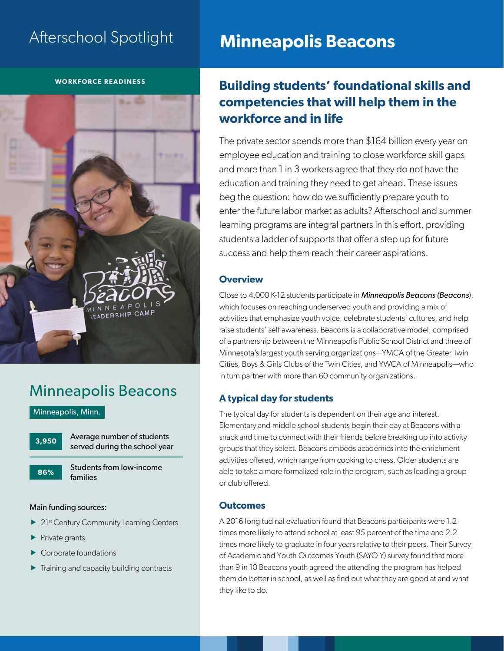# Afterschool Spotlight

### **WORKFORCE READINESS**

# LEADERSHIP CAMP

# Minneapolis Beacons

Minneapolis, Minn.



**86%**

Average number of students served during the school year

Students from low-income families

### Main funding sources:

- $\blacktriangleright$  21st Century Community Learning Centers
- $\blacktriangleright$  Private grants
- Corporate foundations
- Training and capacity building contracts

# **Minneapolis Beacons**

# **Building students' foundational skills and competencies that will help them in the workforce and in life**

The private sector spends more than \$164 billion every year on employee education and training to close workforce skill gaps and more than 1 in 3 workers agree that they do not have the education and training they need to get ahead. These issues beg the question: how do we sufficiently prepare youth to enter the future labor market as adults? Afterschool and summer learning programs are integral partners in this effort, providing students a ladder of supports that offer a step up for future success and help them reach their career aspirations.

### **Overview**

Close to 4,000 K-12 students participate in *Minneapolis Beacons (Beacons*), which focuses on reaching underserved youth and providing a mix of activities that emphasize youth voice, celebrate students' cultures, and help raise students' self-awareness. Beacons is a collaborative model, comprised of a partnership between the Minneapolis Public School District and three of Minnesota's largest youth serving organizations—YMCA of the Greater Twin Cities, Boys & Girls Clubs of the Twin Cities, and YWCA of Minneapolis—who in turn partner with more than 60 community organizations.

# **A typical day for students**

The typical day for students is dependent on their age and interest. Elementary and middle school students begin their day at Beacons with a snack and time to connect with their friends before breaking up into activity groups that they select. Beacons embeds academics into the enrichment activities offered, which range from cooking to chess. Older students are able to take a more formalized role in the program, such as leading a group or club offered.

### **Outcomes**

A 2016 longitudinal evaluation found that Beacons participants were 1.2 times more likely to attend school at least 95 percent of the time and 2.2 times more likely to graduate in four years relative to their peers. Their Survey of Academic and Youth Outcomes Youth (SAYO Y) survey found that more than 9 in 10 Beacons youth agreed the attending the program has helped them do better in school, as well as find out what they are good at and what they like to do.